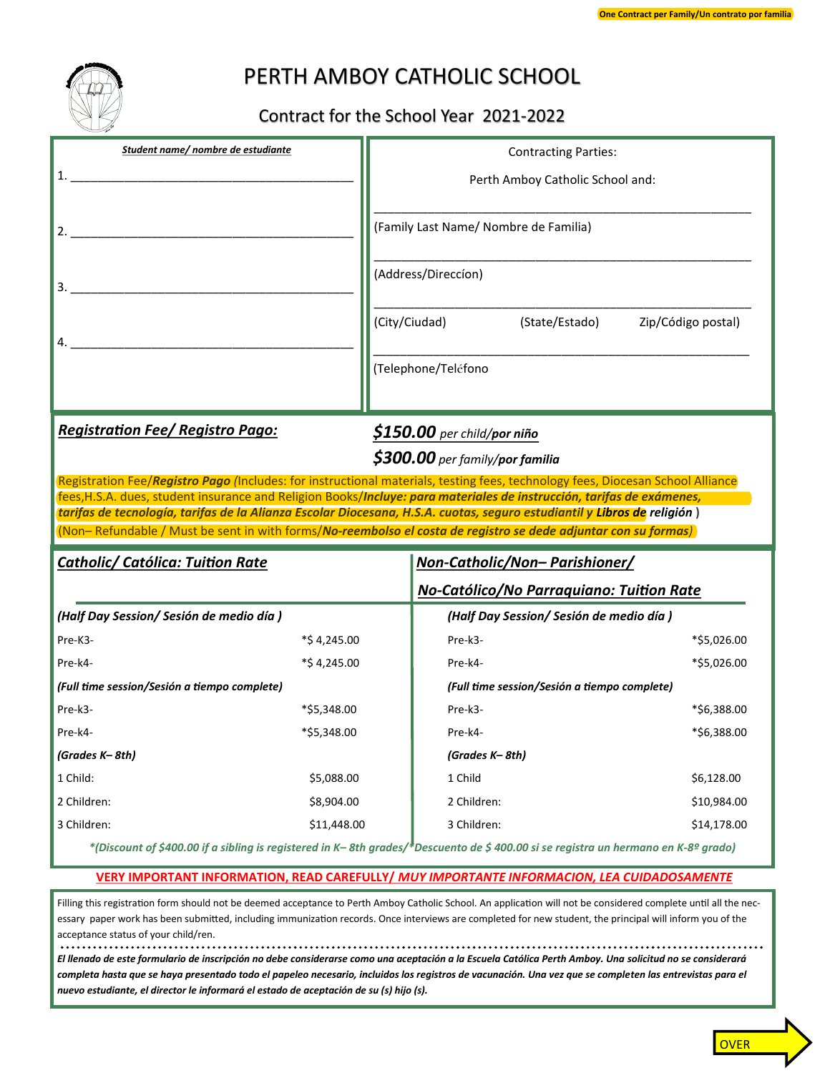

## PERTH AMBOY CATHOLIC SCHOOL

## Contract for the School Year 2021-2022

| Student name/ nombre de estudiante                                                                                                                                                                                                               |             | <b>Contracting Parties:</b>                                                         |                    |
|--------------------------------------------------------------------------------------------------------------------------------------------------------------------------------------------------------------------------------------------------|-------------|-------------------------------------------------------------------------------------|--------------------|
|                                                                                                                                                                                                                                                  |             | Perth Amboy Catholic School and:                                                    |                    |
| 2.                                                                                                                                                                                                                                               |             | (Family Last Name/ Nombre de Familia)                                               |                    |
|                                                                                                                                                                                                                                                  |             | (Address/Direccíon)                                                                 |                    |
|                                                                                                                                                                                                                                                  |             | (City/Ciudad) (State/Estado)                                                        | Zip/Código postal) |
|                                                                                                                                                                                                                                                  |             | (Telephone/Teléfono                                                                 |                    |
| <b>Registration Fee/ Registro Pago:</b>                                                                                                                                                                                                          |             | \$150.00 per child/por niño<br>\$300.00 per family/por familia                      |                    |
| Registration Fee/Registro Pago (Includes: for instructional materials, testing fees, technology fees, Diocesan School Alliance                                                                                                                   |             |                                                                                     |                    |
|                                                                                                                                                                                                                                                  |             |                                                                                     |                    |
| fees, H.S.A. dues, student insurance and Religion Books/Incluye: para materiales de instrucción, tarifas de exámenes,<br>tarifas de tecnología, tarifas de la Alianza Escolar Diocesana, H.S.A. cuotas, seguro estudiantil y Libros de religión) |             |                                                                                     |                    |
| (Non-Refundable / Must be sent in with forms/No-reembolso el costa de registro se dede adjuntar con su formas)                                                                                                                                   |             |                                                                                     |                    |
| <b>Catholic/ Católica: Tuition Rate</b>                                                                                                                                                                                                          |             | Non-Catholic/Non- Parishioner/                                                      |                    |
|                                                                                                                                                                                                                                                  |             |                                                                                     |                    |
| (Half Day Session/ Sesión de medio día)                                                                                                                                                                                                          |             | No-Católico/No Parraquiano: Tuition Rate<br>(Half Day Session/ Sesión de medio día) |                    |
| Pre-K3-                                                                                                                                                                                                                                          | *\$4,245.00 | Pre-k3-                                                                             | *\$5,026.00        |
| Pre-k4-                                                                                                                                                                                                                                          | *\$4,245.00 | Pre-k4-                                                                             | *\$5,026.00        |
| (Full time session/Sesión a tiempo complete)                                                                                                                                                                                                     |             | (Full time session/Sesión a tiempo complete)                                        |                    |
| Pre-k3-                                                                                                                                                                                                                                          | *\$5,348.00 | Pre-k3-                                                                             | *\$6,388.00        |
| Pre-k4-                                                                                                                                                                                                                                          | *\$5.348.00 | Pre-k4-                                                                             | *\$6,388.00        |
| (Grades K-8th)                                                                                                                                                                                                                                   |             | (Grades K-8th)                                                                      |                    |
| 1 Child:                                                                                                                                                                                                                                         | \$5,088.00  | 1 Child                                                                             | \$6,128.00         |
| 2 Children:                                                                                                                                                                                                                                      | \$8,904.00  | 2 Children:                                                                         | \$10,984.00        |
| 3 Children:                                                                                                                                                                                                                                      | \$11,448.00 | 3 Children:                                                                         | \$14,178.00        |

## **VERY IMPORTANT INFORMATION, READ CAREFULLY/** *MUY IMPORTANTE INFORMACION, LEA CUIDADOSAMENTE*

Filling this registration form should not be deemed acceptance to Perth Amboy Catholic School. An application will not be considered complete until all the necessary paper work has been submitted, including immunization records. Once interviews are completed for new student, the principal will inform you of the acceptance status of your child/ren.

*El llenado de este formulario de inscripción no debe considerarse como una aceptación a la Escuela Católica Perth Amboy. Una solicitud no se considerará completa hasta que se haya presentado todo el papeleo necesario, incluidos los registros de vacunación. Una vez que se completen las entrevistas para el nuevo estudiante, el director le informará el estado de aceptación de su (s) hijo (s).*